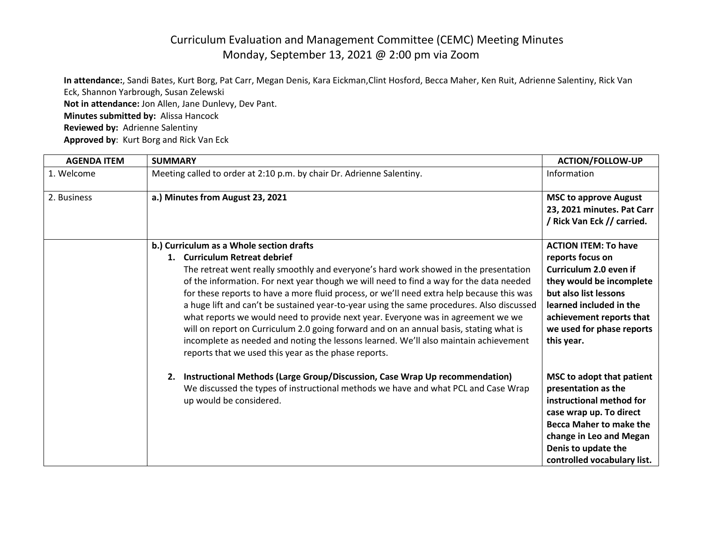## Curriculum Evaluation and Management Committee (CEMC) Meeting Minutes Monday, September 13, 2021 @ 2:00 pm via Zoom

**In attendance:**, Sandi Bates, Kurt Borg, Pat Carr, Megan Denis, Kara Eickman,Clint Hosford, Becca Maher, Ken Ruit, Adrienne Salentiny, Rick Van Eck, Shannon Yarbrough, Susan Zelewski **Not in attendance:** Jon Allen, Jane Dunlevy, Dev Pant. **Minutes submitted by:** Alissa Hancock **Reviewed by:** Adrienne Salentiny **Approved by**: Kurt Borg and Rick Van Eck

| <b>AGENDA ITEM</b> | <b>SUMMARY</b>                                                                                                                                                                                                                                                                                                                                                                                                                                                                                                                                                                                                                                                                                                                                                                       | <b>ACTION/FOLLOW-UP</b>                                                                                                                                                                                                          |
|--------------------|--------------------------------------------------------------------------------------------------------------------------------------------------------------------------------------------------------------------------------------------------------------------------------------------------------------------------------------------------------------------------------------------------------------------------------------------------------------------------------------------------------------------------------------------------------------------------------------------------------------------------------------------------------------------------------------------------------------------------------------------------------------------------------------|----------------------------------------------------------------------------------------------------------------------------------------------------------------------------------------------------------------------------------|
| 1. Welcome         | Meeting called to order at 2:10 p.m. by chair Dr. Adrienne Salentiny.                                                                                                                                                                                                                                                                                                                                                                                                                                                                                                                                                                                                                                                                                                                | Information                                                                                                                                                                                                                      |
| 2. Business        | a.) Minutes from August 23, 2021                                                                                                                                                                                                                                                                                                                                                                                                                                                                                                                                                                                                                                                                                                                                                     | <b>MSC to approve August</b><br>23, 2021 minutes. Pat Carr<br>/ Rick Van Eck // carried.                                                                                                                                         |
|                    | b.) Curriculum as a Whole section drafts<br>1. Curriculum Retreat debrief<br>The retreat went really smoothly and everyone's hard work showed in the presentation<br>of the information. For next year though we will need to find a way for the data needed<br>for these reports to have a more fluid process, or we'll need extra help because this was<br>a huge lift and can't be sustained year-to-year using the same procedures. Also discussed<br>what reports we would need to provide next year. Everyone was in agreement we we<br>will on report on Curriculum 2.0 going forward and on an annual basis, stating what is<br>incomplete as needed and noting the lessons learned. We'll also maintain achievement<br>reports that we used this year as the phase reports. | <b>ACTION ITEM: To have</b><br>reports focus on<br>Curriculum 2.0 even if<br>they would be incomplete<br>but also list lessons<br>learned included in the<br>achievement reports that<br>we used for phase reports<br>this year. |
|                    | 2. Instructional Methods (Large Group/Discussion, Case Wrap Up recommendation)<br>We discussed the types of instructional methods we have and what PCL and Case Wrap<br>up would be considered.                                                                                                                                                                                                                                                                                                                                                                                                                                                                                                                                                                                      | MSC to adopt that patient<br>presentation as the<br>instructional method for<br>case wrap up. To direct<br><b>Becca Maher to make the</b><br>change in Leo and Megan<br>Denis to update the<br>controlled vocabulary list.       |